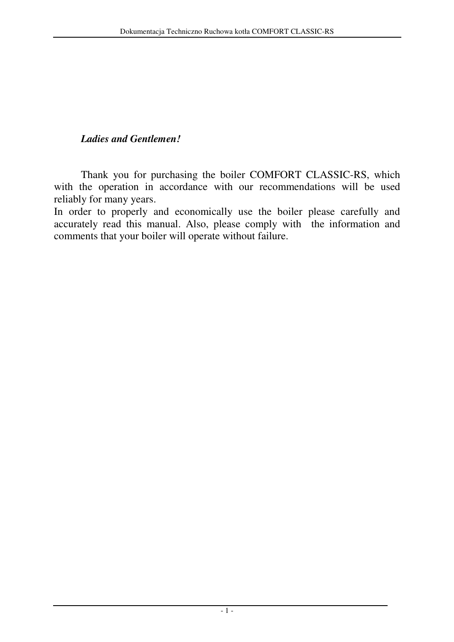## *Ladies and Gentlemen!*

 Thank you for purchasing the boiler COMFORT CLASSIC-RS, which with the operation in accordance with our recommendations will be used reliably for many years.

In order to properly and economically use the boiler please carefully and accurately read this manual. Also, please comply with the information and comments that your boiler will operate without failure.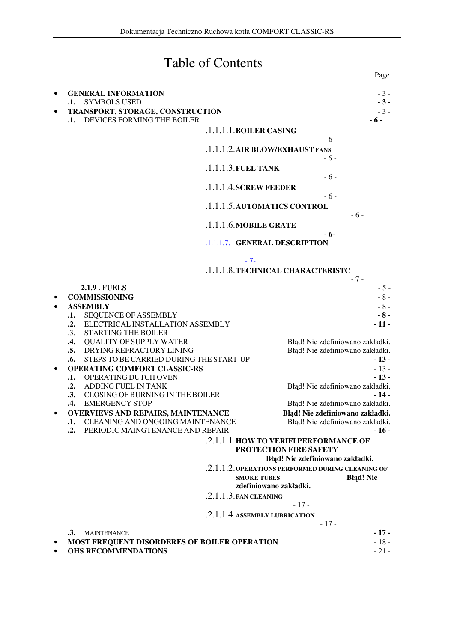# Table of Contents

**Page** 

| <b>SYMBOLS USED</b><br>$\mathbf{.1.}$                                     | $-3-$                                                                                 |
|---------------------------------------------------------------------------|---------------------------------------------------------------------------------------|
| TRANSPORT, STORAGE, CONSTRUCTION<br>.1. DEVICES FORMING THE BOILER        | $-3-$<br>- 6 -                                                                        |
|                                                                           | .1.1.1.1.BOILER CASING                                                                |
|                                                                           | $-6-$<br>.1.1.1.2. AIR BLOW/EXHAUST FANS                                              |
|                                                                           | - 6 -<br>$.1.1.1.3$ . FUEL TANK                                                       |
|                                                                           | $-6-$<br>$.1.1.1.4$ . SCREW FEEDER                                                    |
|                                                                           | $-6-$<br>.1.1.1.5. AUTOMATICS CONTROL<br>$-6-$                                        |
|                                                                           | .1.1.1.6. MOBILE GRATE                                                                |
|                                                                           | - 6-<br>.1.1.1.7. GENERAL DESCRIPTION                                                 |
|                                                                           | $-7-$<br>.1.1.1.8. TECHNICAL CHARACTERISTC                                            |
| <b>2.1.9. FUELS</b>                                                       | $-7-$<br>$-5-$                                                                        |
| <b>COMMISSIONING</b>                                                      | $-8-$                                                                                 |
| <b>ASSEMBLY</b>                                                           | $-8-$                                                                                 |
| SEQUENCE OF ASSEMBLY<br>$\mathbf{.1.}$                                    | $-8-$                                                                                 |
| ELECTRICAL INSTALLATION ASSEMBLY<br>$\cdot$ .<br>.3. STARTING THE BOILER  | $-11-$                                                                                |
| .4. QUALITY OF SUPPLY WATER                                               | Błąd! Nie zdefiniowano zakładki.                                                      |
| .5. DRYING REFRACTORY LINING                                              | Błąd! Nie zdefiniowano zakładki.                                                      |
| STEPS TO BE CARRIED DURING THE START-UP<br>.6.                            | $-13-$                                                                                |
| <b>OPERATING COMFORT CLASSIC-RS</b>                                       | $-13-$                                                                                |
| .1. OPERATING DUTCH OVEN<br>.2. ADDING FUEL IN TANK                       | $-13-$<br>Błąd! Nie zdefiniowano zakładki.                                            |
| .3. CLOSING OF BURNING IN THE BOILER                                      | $-14-$                                                                                |
| .4. EMERGENCY STOP                                                        | Błąd! Nie zdefiniowano zakładki.                                                      |
| <b>OVERVIEVS AND REPAIRS, MAINTENANCE</b>                                 | Błąd! Nie zdefiniowano zakładki.                                                      |
| .1. CLEANING AND ONGOING MAINTENANCE                                      | Błąd! Nie zdefiniowano zakładki.                                                      |
| PERIODIC MAINGTENANCE AND REPAIR<br>$\cdot$ .                             | $-16-$<br>.2.1.1.1. HOW TO VERIFI PERFORMANCE OF                                      |
|                                                                           | PROTECTION FIRE SAFETY                                                                |
|                                                                           | Błąd! Nie zdefiniowano zakładki.<br>.2.1.1.2. OPERATIONS PERFORMED DURING CLEANING OF |
|                                                                           | <b>SMOKE TUBES</b><br><b>Błąd!</b> Nie<br>zdefiniowano zakładki.                      |
|                                                                           | $.2.1.1.3$ . FAN CLEANING                                                             |
|                                                                           | $-17-$<br>.2.1.1.4. ASSEMBLY LUBRICATION                                              |
|                                                                           | $-17-$                                                                                |
| <b>MAINTENANCE</b><br>.3.<br>MOST FREQUENT DISORDERES OF BOILER OPERATION | $-17-$<br>$-18-$                                                                      |
| <b>OHS RECOMMENDATIONS</b>                                                | $-21-$                                                                                |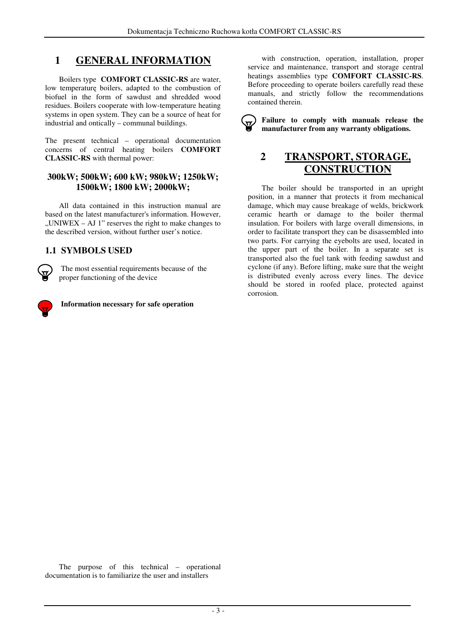## **1 GENERAL INFORMATION**

Boilers type **COMFORT CLASSIC-RS** are water, low temperaturę boilers, adapted to the combustion of biofuel in the form of sawdust and shredded wood residues. Boilers cooperate with low-temperature heating systems in open system. They can be a source of heat for industrial and ontically – communal buildings.

The present technical – operational documentation concerns of central heating boilers **COMFORT CLASSIC-RS** with thermal power:

#### **300kW; 500kW; 600 kW; 980kW; 1250kW; 1500kW; 1800 kW; 2000kW;**

All data contained in this instruction manual are based on the latest manufacturer's information. However,  $M$ UNIWEX – AJ 1" reserves the right to make changes to the described version, without further user's notice.

### **1.1 SYMBOLS USED**

 The most essential requirements because of the proper functioning of the device



 **Information necessary for safe operation** 

with construction, operation, installation, proper service and maintenance, transport and storage central heatings assemblies type **COMFORT CLASSIC-RS**. Before proceeding to operate boilers carefully read these manuals, and strictly follow the recommendations contained therein.

**Failure to comply with manuals release the manufacturer from any warranty obligations.** 

## **2 TRANSPORT, STORAGE, CONSTRUCTION**

The boiler should be transported in an upright position, in a manner that protects it from mechanical damage, which may cause breakage of welds, brickwork ceramic hearth or damage to the boiler thermal insulation. For boilers with large overall dimensions, in order to facilitate transport they can be disassembled into two parts. For carrying the eyebolts are used, located in the upper part of the boiler. In a separate set is transported also the fuel tank with feeding sawdust and cyclone (if any). Before lifting, make sure that the weight is distributed evenly across every lines. The device should be stored in roofed place, protected against corrosion.

The purpose of this technical – operational documentation is to familiarize the user and installers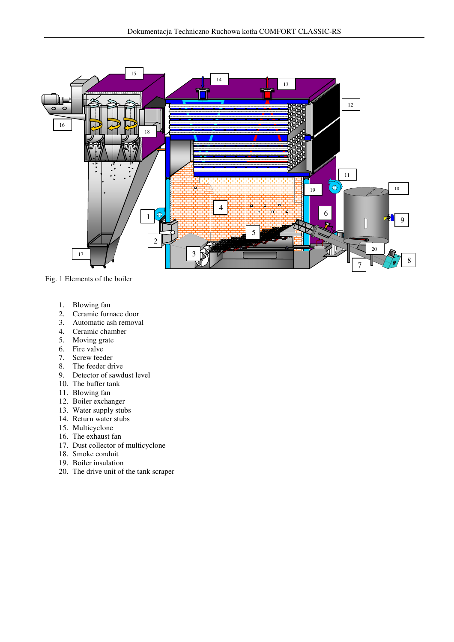

Fig. 1 Elements of the boiler

- 1. Blowing fan
- 2. Ceramic furnace door
- 3. Automatic ash removal
- 4. Ceramic chamber
- 5. Moving grate
- 6. Fire valve
- 7. Screw feeder
- 8. The feeder drive
- 9. Detector of sawdust level
- 10. The buffer tank
- 11. Blowing fan
- 12. Boiler exchanger
- 13. Water supply stubs
- 14. Return water stubs
- 15. Multicyclone
- 16. The exhaust fan
- 17. Dust collector of multicyclone
- 18. Smoke conduit
- 19. Boiler insulation
- 20. The drive unit of the tank scraper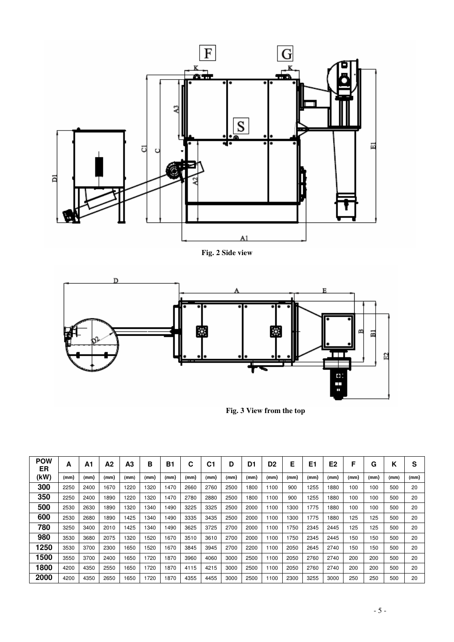

**Fig. 2 Side view** 



**Fig. 3 View from the top**

| <b>POW</b><br>ER | А    | Α1   | А2   | A3   | в    | Β1   | С    | C1   | D    | D1   | D <sub>2</sub> | Е    | E1   | E2   | F    | G    | Κ    | s    |
|------------------|------|------|------|------|------|------|------|------|------|------|----------------|------|------|------|------|------|------|------|
| (kW)             | (mm) | (mm) | (mm) | (mm) | (mm) | (mm) | (mm) | (mm) | (mm) | (mm) | (mm)           | (mm) | (mm) | (mm) | (mm) | (mm) | (mm) | (mm) |
| 300              | 2250 | 2400 | 1670 | 1220 | 1320 | 1470 | 2660 | 2760 | 2500 | 1800 | 1100           | 900  | 1255 | 1880 | 100  | 100  | 500  | 20   |
| 350              | 2250 | 2400 | 1890 | 1220 | 1320 | 1470 | 2780 | 2880 | 2500 | 1800 | 1100           | 900  | 1255 | 1880 | 100  | 100  | 500  | 20   |
| 500              | 2530 | 2630 | 1890 | 1320 | 1340 | 1490 | 3225 | 3325 | 2500 | 2000 | 1100           | 1300 | 1775 | 1880 | 100  | 100  | 500  | 20   |
| 600              | 2530 | 2680 | 1890 | 1425 | 1340 | 1490 | 3335 | 3435 | 2500 | 2000 | 1100           | 1300 | 1775 | 1880 | 125  | 125  | 500  | 20   |
| 780              | 3250 | 3400 | 2010 | 1425 | 1340 | 1490 | 3625 | 3725 | 2700 | 2000 | 1100           | 1750 | 2345 | 2445 | 125  | 125  | 500  | 20   |
| 980              | 3530 | 3680 | 2075 | 1320 | 1520 | 1670 | 3510 | 3610 | 2700 | 2000 | 1100           | 1750 | 2345 | 2445 | 150  | 150  | 500  | 20   |
| 1250             | 3530 | 3700 | 2300 | 1650 | 1520 | 1670 | 3845 | 3945 | 2700 | 2200 | 1100           | 2050 | 2645 | 2740 | 150  | 150  | 500  | 20   |
| 1500             | 3550 | 3700 | 2400 | 1650 | 1720 | 1870 | 3960 | 4060 | 3000 | 2500 | 1100           | 2050 | 2760 | 2740 | 200  | 200  | 500  | 20   |
| 1800             | 4200 | 4350 | 2550 | 1650 | 1720 | 1870 | 4115 | 4215 | 3000 | 2500 | 1100           | 2050 | 2760 | 2740 | 200  | 200  | 500  | 20   |
| 2000             | 4200 | 4350 | 2650 | 1650 | 1720 | 1870 | 4355 | 4455 | 3000 | 2500 | 1100           | 2300 | 3255 | 3000 | 250  | 250  | 500  | 20   |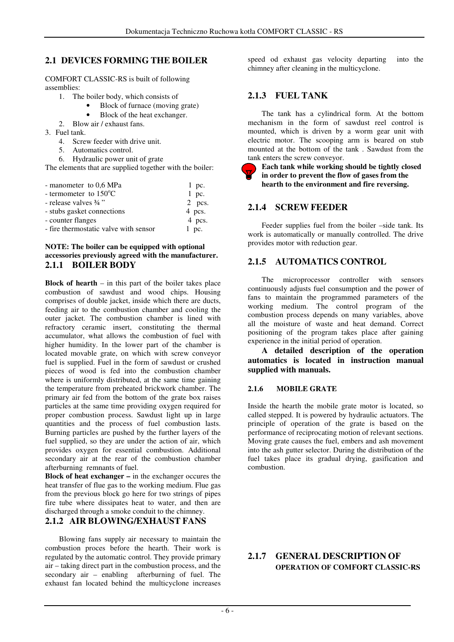### **2.1 DEVICES FORMING THE BOILER**

COMFORT CLASSIC-RS is built of following assemblies:

- 1. The boiler body, which consists of
	- Block of furnace (moving grate)
	- Block of the heat exchanger.
- 2. Blow air / exhaust fans.
- 3. Fuel tank.
	- 4. Screw feeder with drive unit.
	- 5. Automatics control.
	- 6. Hydraulic power unit of grate

The elements that are supplied together with the boiler:

| - manometer to $0.6$ MPa              | $1$ pc.  |
|---------------------------------------|----------|
| - termometer to $150^{\circ}$ C       | $1$ pc.  |
| - release valves 3/4"                 | $2$ pcs. |
| - stubs gasket connections            | 4 pcs.   |
| - counter flanges                     | 4 pcs.   |
| - fire thermostatic valve with sensor | $1$ pc.  |

#### **NOTE: The boiler can be equipped with optional accessories previously agreed with the manufacturer. 2.1.1 BOILER BODY**

**Block of hearth** – in this part of the boiler takes place combustion of sawdust and wood chips. Housing comprises of double jacket, inside which there are ducts, feeding air to the combustion chamber and cooling the outer jacket. The combustion chamber is lined with refractory ceramic insert, constituting the thermal accumulator, what allows the combustion of fuel with higher humidity. In the lower part of the chamber is located movable grate, on which with screw conveyor fuel is supplied. Fuel in the form of sawdust or crushed pieces of wood is fed into the combustion chamber where is uniformly distributed, at the same time gaining the temperature from preheated brickwork chamber. The primary air fed from the bottom of the grate box raises particles at the same time providing oxygen required for proper combustion process. Sawdust light up in large quantities and the process of fuel combustion lasts. Burning particles are pushed by the further layers of the fuel supplied, so they are under the action of air, which provides oxygen for essential combustion. Additional secondary air at the rear of the combustion chamber afterburning remnants of fuel.

**Block of heat exchanger –** in the exchanger occures the heat transfer of flue gas to the working medium. Flue gas from the previous block go here for two strings of pipes fire tube where dissipates heat to water, and then are discharged through a smoke conduit to the chimney.

### **2.1.2 AIR BLOWING/EXHAUST FANS**

Blowing fans supply air necessary to maintain the combustion proces before the hearth. Their work is regulated by the automatic control. They provide primary air – taking direct part in the combustion process, and the secondary air – enabling afterburning of fuel. The exhaust fan located behind the multicyclone increases

speed od exhaust gas velocity departing into the chimney after cleaning in the multicyclone.

### **2.1.3 FUEL TANK**

The tank has a cylindrical form. At the bottom mechanism in the form of sawdust reel control is mounted, which is driven by a worm gear unit with electric motor. The scooping arm is beared on stub mounted at the bottom of the tank . Sawdust from the tank enters the screw conveyor.

#### **Each tank while working should be tightly closed in order to prevent the flow of gases from the hearth to the environment and fire reversing.**

### **2.1.4 SCREW FEEDER**

Feeder supplies fuel from the boiler –side tank. Its work is automatically or manually controlled. The drive provides motor with reduction gear.

### **2.1.5 AUTOMATICS CONTROL**

The microprocessor controller with sensors continuously adjusts fuel consumption and the power of fans to maintain the programmed parameters of the working medium. The control program of the combustion process depends on many variables, above all the moisture of waste and heat demand. Correct positioning of the program takes place after gaining experience in the initial period of operation.

**A detailed description of the operation automatics is located in instruction manual supplied with manuals.** 

#### **2.1.6 MOBILE GRATE**

Inside the hearth the mobile grate motor is located, so called stepped. It is powered by hydraulic actuators. The principle of operation of the grate is based on the performance of reciprocating motion of relevant sections. Moving grate causes the fuel, embers and ash movement into the ash gutter selector. During the distribution of the fuel takes place its gradual drying, gasification and combustion.

### **2.1.7 GENERAL DESCRIPTION OF OPERATION OF COMFORT CLASSIC-RS**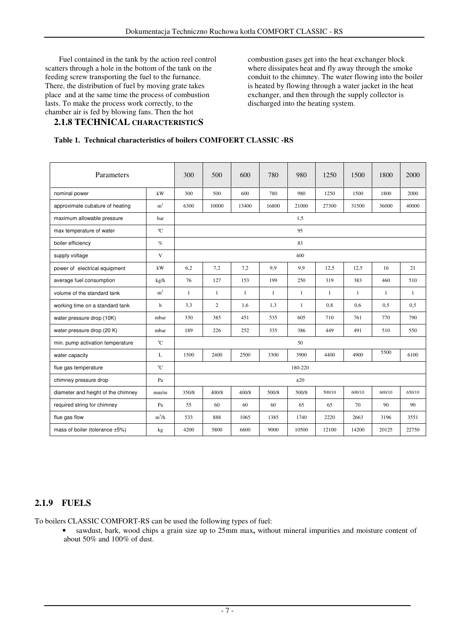Fuel contained in the tank by the action reel control scatters through a hole in the bottom of the tank on the feeding screw transporting the fuel to the furnance. There, the distribution of fuel by moving grate takes place and at the same time the process of combustion lasts. To make the process work correctly, to the chamber air is fed by blowing fans. Then the hot

### **2.1.8 TECHNICAL CHARACTERISTICS**

combustion gases get into the heat exchanger block where dissipates heat and fly away through the smoke conduit to the chimney. The water flowing into the boiler is heated by flowing through a water jacket in the heat exchanger, and then through the supply collector is discharged into the heating system.

#### **Table 1. Technical characteristics of boilers COMFOERT CLASSIC -RS**

| Parameters                         |                | 300   | 500            | 600          | 780          | 980     | 1250         | 1500         | 1800   | 2000         |
|------------------------------------|----------------|-------|----------------|--------------|--------------|---------|--------------|--------------|--------|--------------|
| nominal power                      | kW             | 300   | 500            | 600          | 780          | 980     | 1250         | 1500         | 1800   | 2000         |
| approximate cubature of heating    | m <sup>3</sup> | 6300  | 10000          | 13400        | 16800        | 21000   | 27300        | 31500        | 36000  | 40000        |
| maximum allowable pressure         | bar            |       |                |              |              | 1,5     |              |              |        |              |
| max temperature of water           | $^{\circ}$ C   |       |                |              |              | 95      |              |              |        |              |
| boiler efficiency                  | $\%$           |       |                |              |              | 83      |              |              |        |              |
| supply voltage                     | $\mathbf V$    |       |                |              |              | 400     |              |              |        |              |
| power of electrical equipment      | kW             | 6,2   | 7,2            | 7,2          | 9,9          | 9,9     | 12,5         | 12,5         | 16     | 21           |
| average fuel consumption           | kg/h           | 76    | 127            | 153          | 199          | 250     | 319          | 383          | 460    | 510          |
| volume of the standard tank        | m <sup>3</sup> | 1     | $\mathbf{1}$   | $\mathbf{1}$ | $\mathbf{1}$ | 1       | $\mathbf{1}$ | $\mathbf{1}$ | -1     | $\mathbf{1}$ |
| working time on a standard tank    | h              | 3,3   | $\overline{2}$ | 1,6          | 1,3          | 1       | 0.8          | 0,6          | 0,5    | 0,5          |
| water pressure drop (10K)          | mbar           | 330   | 385            | 451          | 535          | 605     | 710          | 761          | 770    | 790          |
| water pressure drop (20 K)         | mbar           | 189   | 226            | 252          | 335          | 386     | 449          | 491          | 510    | 550          |
| min. pump activation temperature   | $^{\circ}$ C   | 50    |                |              |              |         |              |              |        |              |
| water capacity                     | L              | 1500  | 2400           | 2500         | 3300         | 3900    | 4400         | 4900         | 5500   | 6100         |
| flue gas temperature               | $^{\circ}C$    |       |                |              |              | 180-220 |              |              |        |              |
| chimney pressure drop              | Pa             | ±20   |                |              |              |         |              |              |        |              |
| diameter and height of the chimney | mm/m           | 350/8 | 400/8          | 400/8        | 500/8        | 500/8   | 500/10       | 600/10       | 600/10 | 650/10       |
| required string for chimney        | Pa             | 55    | 60             | 60           | 60           | 65      | 65           | 70           | 90     | 90           |
| flue gas flow                      | $m^3/h$        | 533   | 888            | 1065         | 1385         | 1740    | 2220         | 2663         | 3196   | 3551         |
| mass of boiler (tolerance ±5%)     | kg             | 4200  | 5800           | 6600         | 9000         | 10500   | 12100        | 14200        | 20125  | 22750        |

### **2.1.9 FUELS**

To boilers CLASSIC COMFORT-RS can be used the following types of fuel:

• sawdust, bark, wood chips a grain size up to 25mm max**,** without mineral impurities and moisture content of about 50% and 100% of dust.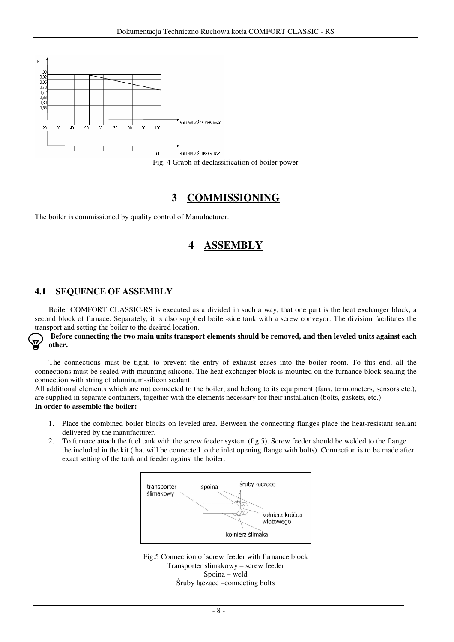

Fig. 4 Graph of declassification of boiler power

## **3 COMMISSIONING**

The boiler is commissioned by quality control of Manufacturer.

## **4 ASSEMBLY**

### **4.1 SEQUENCE OF ASSEMBLY**

Boiler COMFORT CLASSIC-RS is executed as a divided in such a way, that one part is the heat exchanger block, a second block of furnace. Separately, it is also supplied boiler-side tank with a screw conveyor. The division facilitates the transport and setting the boiler to the desired location.

#### **Before connecting the two main units transport elements should be removed, and then leveled units against each other.**

 The connections must be tight, to prevent the entry of exhaust gases into the boiler room. To this end, all the connections must be sealed with mounting silicone. The heat exchanger block is mounted on the furnance block sealing the connection with string of aluminum-silicon sealant.

All additional elements which are not connected to the boiler, and belong to its equipment (fans, termometers, sensors etc.), are supplied in separate containers, together with the elements necessary for their installation (bolts, gaskets, etc.) **In order to assemble the boiler:** 

- 1. Place the combined boiler blocks on leveled area. Between the connecting flanges place the heat-resistant sealant delivered by the manufacturer.
- 2. To furnace attach the fuel tank with the screw feeder system (fig.5). Screw feeder should be welded to the flange the included in the kit (that will be connected to the inlet opening flange with bolts). Connection is to be made after exact setting of the tank and feeder against the boiler.



Fig.5 Connection of screw feeder with furnance block Transporter ślimakowy – screw feeder Spoina – weld Śruby łączące –connecting bolts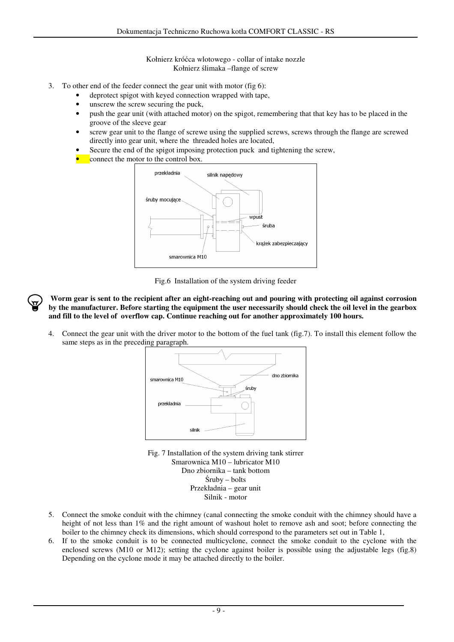Kołnierz króćca wlotowego - collar of intake nozzle Kołnierz ślimaka –flange of screw

- 3. To other end of the feeder connect the gear unit with motor (fig 6):
	- deprotect spigot with keyed connection wrapped with tape,
	- unscrew the screw securing the puck,
	- push the gear unit (with attached motor) on the spigot, remembering that that key has to be placed in the groove of the sleeve gear
	- screw gear unit to the flange of screwe using the supplied screws, screws through the flange are screwed directly into gear unit, where the threaded holes are located,
	- Secure the end of the spigot imposing protection puck and tightening the screw,
	- connect the motor to the control box.



Fig.6 Installation of the system driving feeder

**Worm gear is sent to the recipient after an eight-reaching out and pouring with protecting oil against corrosion by the manufacturer. Before starting the equipment the user necessarily should check the oil level in the gearbox and fill to the level of overflow cap. Continue reaching out for another approximately 100 hours.** 

4. Connect the gear unit with the driver motor to the bottom of the fuel tank (fig.7). To install this element follow the same steps as in the preceding paragraph.



Fig. 7 Installation of the system driving tank stirrer Smarownica M10 – lubricator M10 Dno zbiornika – tank bottom Śruby – bolts Przekładnia – gear unit Silnik - motor

- 5. Connect the smoke conduit with the chimney (canal connecting the smoke conduit with the chimney should have a height of not less than 1% and the right amount of washout holet to remove ash and soot; before connecting the boiler to the chimney check its dimensions, which should correspond to the parameters set out in Table 1,
- 6. If to the smoke conduit is to be connected multicyclone, connect the smoke conduit to the cyclone with the enclosed screws (M10 or M12); setting the cyclone against boiler is possible using the adjustable legs (fig.8) Depending on the cyclone mode it may be attached directly to the boiler.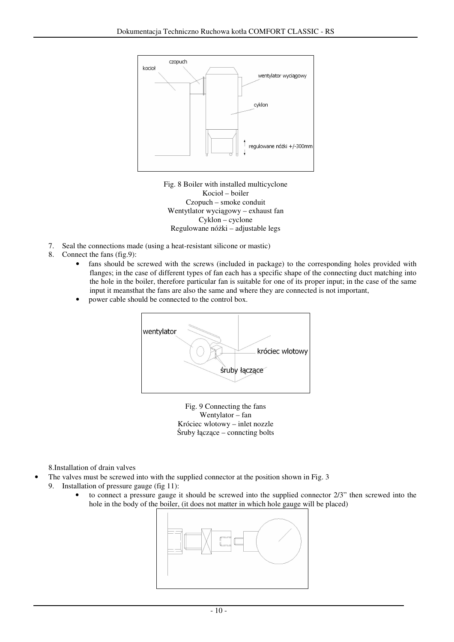

Fig. 8 Boiler with installed multicyclone Kocioł – boiler Czopuch – smoke conduit Wentytlator wyciągowy – exhaust fan Cyklon – cyclone Regulowane nóżki – adjustable legs

- 7. Seal the connections made (using a heat-resistant silicone or mastic)
- 8. Connect the fans (fig.9):
	- fans should be screwed with the screws (included in package) to the corresponding holes provided with flanges; in the case of different types of fan each has a specific shape of the connecting duct matching into the hole in the boiler, therefore particular fan is suitable for one of its proper input; in the case of the same input it meansthat the fans are also the same and where they are connected is not important,
	- power cable should be connected to the control box.



Fig. 9 Connecting the fans Wentylator – fan Króciec wlotowy – inlet nozzle Śruby łączące – conncting bolts

8.Installation of drain valves

- The valves must be screwed into with the supplied connector at the position shown in Fig. 3
- 9. Installation of pressure gauge (fig 11):
	- to connect a pressure gauge it should be screwed into the supplied connector 2/3" then screwed into the hole in the body of the boiler, (it does not matter in which hole gauge will be placed)

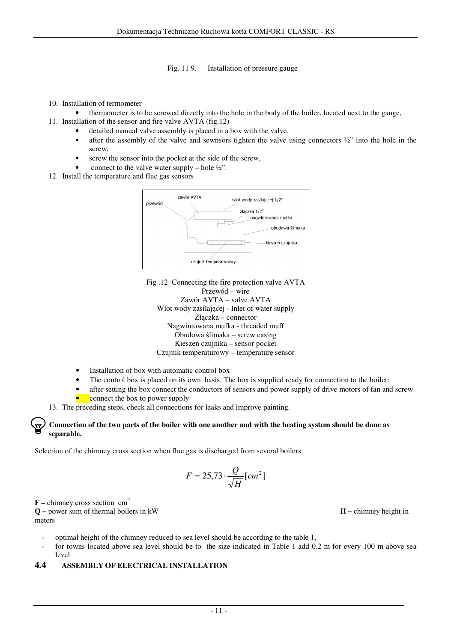Fig. 11 9. Installation of pressure gauge

- 10. Installation of termometer
- thermometer is to be screwed directly into the hole in the body of the boiler, located next to the gauge,
- 11. Installation of the sensor and fire valve AVTA (fig.12)
	- detailed manual valve assembly is placed in a box with the valve.
	- after the assembly of the valve and sewnsors tighten the valve using connectors  $\frac{1}{2}$ " into the hole in the screw,
	- screw the sensor into the pocket at the side of the screw,
	- connect to the valve water supply hole  $\frac{1}{2}$ ".
- 12. Install the temperature and flue gas sensors



Fig .12 Connecting the fire protection valve AVTA Przewód – wire Zawór AVTA – valve AVTA Wlot wody zasilającej - Inlet of water supply Złączka – connector Nagwintowana mufka - threaded muff Obudowa ślimaka – screw casing Kieszeń czujnika – sensor pocket Czujnik temperaturowy – temperaturę sensor

- Installation of box with automatic control box
- The control box is placed on its own basis. The box is supplied ready for connection to the boiler;
- after setting the box connect the conductors of sensors and power supply of drive motors of fan and screw
- connect the box to power supply
- 13. The preceding steps, check all connections for leaks and improve painting.

#### **Connection of the two parts of the boiler with one another and with the heating system should be done as separable.**

Selection of the chimney cross section when flue gas is discharged from several boilers:

$$
F = 25.73 \cdot \frac{Q}{\sqrt{H}} [cm^2]
$$

 $\mathbf{F}$  – chimney cross section cm<sup>2</sup>

**Q –** power sum of thermal boilers in kW **H –** chimney height in meters

- optimal height of the chimney reduced to sea level should be according to the table 1,
- for towns located above sea level should be to the size indicated in Table 1 add 0.2 m for every 100 m above sea level

#### **4.4 ASSEMBLY OF ELECTRICAL INSTALLATION**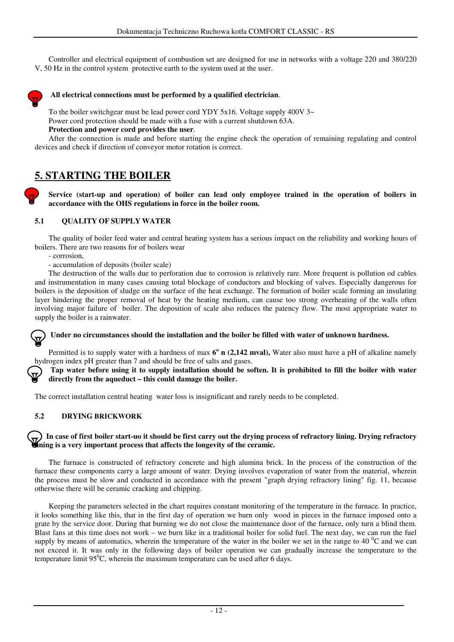Controller and electrical equipment of combustion set are designed for use in networks with a voltage 220 and 380/220 V, 50 Hz in the control system protective earth to the system used at the user.



#### **All electrical connections must be performed by a qualified electrician**.

To the boiler switchgear must be lead power cord YDY 5x16. Voltage supply 400V 3~ Power cord protection should be made with a fuse with a current shutdown 63A. **Protection and power cord provides the user**.

After the connection is made and before starting the engine check the operation of remaining regulating and control devices and check if direction of conveyor motor rotation is correct.

## **5. STARTING THE BOILER**

**Service (start-up and operation) of boiler can lead only employee trained in the operation of boilers in accordance with the OHS regulations in force in the boiler room.**

#### **5.1 QUALITY OF SUPPLY WATER**

The quality of boiler feed water and central heating system has a serious impact on the reliability and working hours of boilers. There are two reasons for of boilers wear

- corrosion,
- accumulation of deposits (boiler scale)

The destruction of the walls due to perforation due to corrosion is relatively rare. More frequent is pollution od cables and instrumentation in many cases causing total blockage of conductors and blocking of valves. Especially dangerous for boilers is the deposition of sludge on the surface of the heat exchange. The formation of boiler scale forming an insulating layer hindering the proper removal of heat by the heating medium, can cause too strong overheating of the walls often involving major failure of boiler. The deposition of scale also reduces the patency flow. The most appropriate water to supply the boiler is a rainwater.

**Under no circumstances should the installation and the boiler be filled with water of unknown hardness.** 

Permitted is to supply water with a hardness of max  $6^{\circ}$  n (2,142 mval), Water also must have a pH of alkaline namely hydrogen index pH greater than 7 and should be free of salts and gases.

**Tap water before using it to supply installation should be soften. It is prohibited to fill the boiler with water directly from the aqueduct – this could damage the boiler.**

The correct installation central heating water loss is insignificant and rarely needs to be completed.

#### **5.2 DRYING BRICKWORK**

#### **In case of first boiler start-uo it should be first carry out the drying process of refractory lining. Drying refractory lining is a very important process that affects the longevity of the ceramic.**

The furnace is constructed of refractory concrete and high alumina brick. In the process of the construction of the furnace these components carry a large amount of water. Drying involves evaporation of water from the material, wherein the process must be slow and conducted in accordance with the present "graph drying refractory lining" fig. 11, because otherwise there will be ceramic cracking and chipping.

Keeping the parameters selected in the chart requires constant monitoring of the temperature in the furnace. In practice, it looks something like this, that in the first day of operation we burn only wood in pieces in the furnace imposed onto a grate by the service door. During that burning we do not close the maintenance door of the furnace, only turn a blind them. Blast fans at this time does not work – we burn like in a traditional boiler for solid fuel. The next day, we can run the fuel supply by means of automatics, wherein the temperature of the water in the boiler we set in the range to 40  $^{\circ}$ C and we can not exceed it. It was only in the following days of boiler operation we can gradually increase the temperature to the temperature limit  $95^{\circ}$ C, wherein the maximum temperature can be used after 6 days.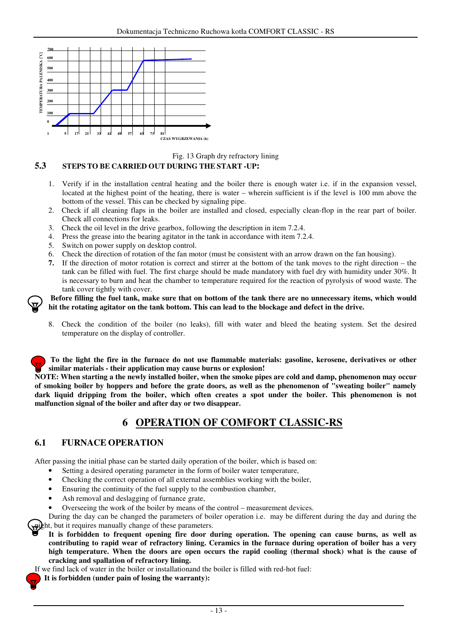

Fig. 13 Graph dry refractory lining

#### **5.3 STEPS TO BE CARRIED OUT DURING THE START -UP:**

- 1. Verify if in the installation central heating and the boiler there is enough water i.e. if in the expansion vessel, located at the highest point of the heating, there is water – wherein sufficient is if the level is 100 mm above the bottom of the vessel. This can be checked by signaling pipe.
- 2. Check if all cleaning flaps in the boiler are installed and closed, especially clean-flop in the rear part of boiler. Check all connections for leaks.
- 3. Check the oil level in the drive gearbox, following the description in item 7.2.4.
- 4. Press the grease into the bearing agitator in the tank in accordance with item 7.2.4.
- 5. Switch on power supply on desktop control.
- 6. Check the direction of rotation of the fan motor (must be consistent with an arrow drawn on the fan housing).
- **7.** If the direction of motor rotation is correct and stirrer at the bottom of the tank moves to the right direction the tank can be filled with fuel. The first charge should be made mandatory with fuel dry with humidity under 30%. It is necessary to burn and heat the chamber to temperature required for the reaction of pyrolysis of wood waste. The tank cover tightly with cover.

**Before filling the fuel tank, make sure that on bottom of the tank there are no unnecessary items, which would hit the rotating agitator on the tank bottom. This can lead to the blockage and defect in the drive.** 

8. Check the condition of the boiler (no leaks), fill with water and bleed the heating system. Set the desired temperature on the display of controller.

**To the light the fire in the furnace do not use flammable materials: gasoline, kerosene, derivatives or other similar materials - their application may cause burns or explosion!**

**NOTE: When starting a the newly installed boiler, when the smoke pipes are cold and damp, phenomenon may occur of smoking boiler by hoppers and before the grate doors, as well as the phenomenon of "sweating boiler" namely dark liquid dripping from the boiler, which often creates a spot under the boiler. This phenomenon is not malfunction signal of the boiler and after day or two disappear.**

## **6 OPERATION OF COMFORT CLASSIC-RS**

#### **6.1 FURNACE OPERATION**

After passing the initial phase can be started daily operation of the boiler, which is based on:

- Setting a desired operating parameter in the form of boiler water temperature,
- Checking the correct operation of all external assemblies working with the boiler,
- Ensuring the continuity of the fuel supply to the combustion chamber,
- Ash removal and deslagging of furnance grate,
- Overseeing the work of the boiler by means of the control measurement devices.

During the day can be changed the parameters of boiler operation i.e. may be different during the day and during the the phit, but it requires manually change of these parameters.

**It is forbidden to frequent opening fire door during operation. The opening can cause burns, as well as contributing to rapid wear of refractory lining. Ceramics in the furnace during operation of boiler has a very high temperature. When the doors are open occurs the rapid cooling (thermal shock) what is the cause of cracking and spallation of refractory lining.**

If we find lack of water in the boiler or installationand the boiler is filled with red-hot fuel:

**It is forbidden (under pain of losing the warranty):**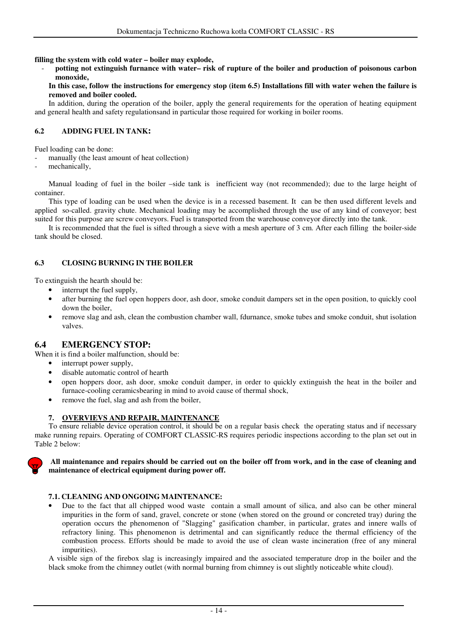**filling the system with cold water – boiler may explode,** 

- **potting not extinguish furnance with water– risk of rupture of the boiler and production of poisonous carbon monoxide,** 

**In this case, follow the instructions for emergency stop (item 6.5) Installations fill with water wehen the failure is removed and boiler cooled.**

In addition, during the operation of the boiler, apply the general requirements for the operation of heating equipment and general health and safety regulationsand in particular those required for working in boiler rooms.

#### **6.2 ADDING FUEL IN TANK:**

Fuel loading can be done:

manually (the least amount of heat collection)

mechanically,

Manual loading of fuel in the boiler –side tank is inefficient way (not recommended); due to the large height of container.

This type of loading can be used when the device is in a recessed basement. It can be then used different levels and applied so-called. gravity chute. Mechanical loading may be accomplished through the use of any kind of conveyor; best suited for this purpose are screw conveyors. Fuel is transported from the warehouse conveyor directly into the tank.

It is recommended that the fuel is sifted through a sieve with a mesh aperture of 3 cm. After each filling the boiler-side tank should be closed.

#### **6.3 CLOSING BURNING IN THE BOILER**

To extinguish the hearth should be:

- interrupt the fuel supply,
- after burning the fuel open hoppers door, ash door, smoke conduit dampers set in the open position, to quickly cool down the boiler,
- remove slag and ash, clean the combustion chamber wall, fdurnance, smoke tubes and smoke conduit, shut isolation valves.

### **6.4 EMERGENCY STOP:**

When it is find a boiler malfunction, should be:

- interrupt power supply,
- disable automatic control of hearth
- open hoppers door, ash door, smoke conduit damper, in order to quickly extinguish the heat in the boiler and furnace-cooling ceramicsbearing in mind to avoid cause of thermal shock,
- remove the fuel, slag and ash from the boiler,

#### **7. OVERVIEVS AND REPAIR, MAINTENANCE**

 To ensure reliable device operation control, it should be on a regular basis check the operating status and if necessary make running repairs. Operating of COMFORT CLASSIC-RS requires periodic inspections according to the plan set out in Table 2 below:



**All maintenance and repairs should be carried out on the boiler off from work, and in the case of cleaning and maintenance of electrical equipment during power off.** 

#### **7.1. CLEANING AND ONGOING MAINTENANCE:**

• Due to the fact that all chipped wood waste contain a small amount of silica, and also can be other mineral impurities in the form of sand, gravel, concrete or stone (when stored on the ground or concreted tray) during the operation occurs the phenomenon of "Slagging" gasification chamber, in particular, grates and innere walls of refractory lining. This phenomenon is detrimental and can significantly reduce the thermal efficiency of the combustion process. Efforts should be made to avoid the use of clean waste incineration (free of any mineral impurities).

A visible sign of the firebox slag is increasingly impaired and the associated temperature drop in the boiler and the black smoke from the chimney outlet (with normal burning from chimney is out slightly noticeable white cloud).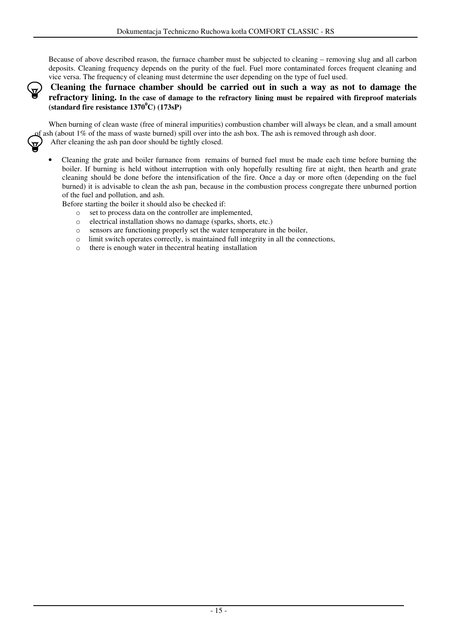Because of above described reason, the furnace chamber must be subjected to cleaning – removing slug and all carbon deposits. Cleaning frequency depends on the purity of the fuel. Fuel more contaminated forces frequent cleaning and vice versa. The frequency of cleaning must determine the user depending on the type of fuel used.

#### **Cleaning the furnace chamber should be carried out in such a way as not to damage the refractory lining. In the case of damage to the refractory lining must be repaired with fireproof materials (standard fire resistance 1370<sup>0</sup>C) (173sP)**

When burning of clean waste (free of mineral impurities) combustion chamber will always be clean, and a small amount of ash (about  $1\%$  of the mass of waste burned) spill over into the ash box. The ash is removed through ash door. After cleaning the ash pan door should be tightly closed.

• Cleaning the grate and boiler furnance from remains of burned fuel must be made each time before burning the boiler. If burning is held without interruption with only hopefully resulting fire at night, then hearth and grate cleaning should be done before the intensification of the fire. Once a day or more often (depending on the fuel burned) it is advisable to clean the ash pan, because in the combustion process congregate there unburned portion of the fuel and pollution, and ash.

Before starting the boiler it should also be checked if:

- o set to process data on the controller are implemented,
- o electrical installation shows no damage (sparks, shorts, etc.)
- o sensors are functioning properly set the water temperature in the boiler,
- o limit switch operates correctly, is maintained full integrity in all the connections,
- o there is enough water in thecentral heating installation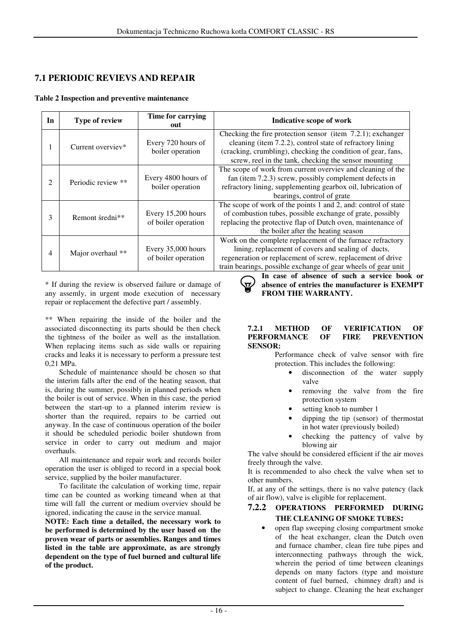### **7.1 PERIODIC REVIEVS AND REPAIR**

#### **Table 2 Inspection and preventive maintenance**

| In             | <b>Type of review</b> | Time for carrying<br>out                  | Indicative scope of work                                                                                                                                                                                                                          |
|----------------|-----------------------|-------------------------------------------|---------------------------------------------------------------------------------------------------------------------------------------------------------------------------------------------------------------------------------------------------|
| 1              | Current overviev*     | Every 720 hours of<br>boiler operation    | Checking the fire protection sensor (item 7.2.1); exchanger<br>cleaning (item 7.2.2), control state of refractory lining<br>(cracking, crumbling), checking the condition of gear, fans,<br>screw, reel in the tank, checking the sensor mounting |
| 2              | Periodic review **    | Every 4800 hours of<br>boiler operation   | The scope of work from current overviev and cleaning of the<br>fan (item 7.2.3) screw, possibly complement defects in<br>refractory lining, supplementing gearbox oil, lubrication of<br>bearings, control of grate                               |
| 3              | Remont średni**       | Every 15,200 hours<br>of boiler operation | The scope of work of the points 1 and 2, and: control of state<br>of combustion tubes, possible exchange of grate, possibly<br>replacing the protective flap of Dutch oven, maintenance of<br>the boiler after the heating season                 |
| $\overline{4}$ | Major overhaul **     | Every 35,000 hours<br>of boiler operation | Work on the complete replacement of the furnace refractory<br>lining, replacement of covers and sealing of ducts,<br>regeneration or replacement of screw, replacement of drive<br>train bearings, possible exchange of gear wheels of gear unit  |

\* If during the review is observed failure or damage of any assemly, in urgent mode execution of necessary repair or replacement the defective part / assembly.

\*\* When repairing the inside of the boiler and the associated disconnecting its parts should be then check the tightness of the boiler as well as the installation. When replacing items such as side walls or repairing cracks and leaks it is necessary to perform a pressure test 0,21 MPa.

Schedule of maintenance should be chosen so that the interim falls after the end of the heating season, that is, during the summer, possibly in planned periods when the boiler is out of service. When in this case, the period between the start-up to a planned interim review is shorter than the required, repairs to be carried out anyway. In the case of continuous operation of the boiler it should be scheduled periodic boiler shutdown from service in order to carry out medium and major overhauls.

All maintenance and repair work and records boiler operation the user is obliged to record in a special book service, supplied by the boiler manufacturer.

To facilitate the calculation of working time, repair time can be counted as working timeand when at that time will fall the current or medium overviev should be ignored, indicating the cause in the service manual.

**NOTE: Each time a detailed, the necessary work to be performed is determined by the user based on the proven wear of parts or assemblies. Ranges and times listed in the table are approximate, as are strongly dependent on the type of fuel burned and cultural life of the product.**

**In case of absence of such a service book or absence of entries the manufacturer is EXEMPT FROM THE WARRANTY.**

#### **7.2.1 METHOD OF VERIFICATION OF**  $PERFORMANCE$ **SENSOR:**

Performance check of valve sensor with fire protection. This includes the following:

- disconnection of the water supply valve
- removing the valve from the fire protection system
- setting knob to number 1
- dipping the tip (sensor) of thermostat in hot water (previously boiled)
- checking the pattency of valve by blowing air

The valve should be considered efficient if the air moves freely through the valve.

It is recommended to also check the valve when set to other numbers.

If, at any of the settings, there is no valve patency (lack of air flow), valve is eligible for replacement.

#### **7.2.2 OPERATIONS PERFORMED DURING THE CLEANING OF SMOKE TUBES:**

• open flap sweeping closing compartment smoke of the heat exchanger, clean the Dutch oven and furnace chamber, clean fire tube pipes and interconnecting pathways through the wick, wherein the period of time between cleanings depends on many factors (type and moisture content of fuel burned, chimney draft) and is subject to change. Cleaning the heat exchanger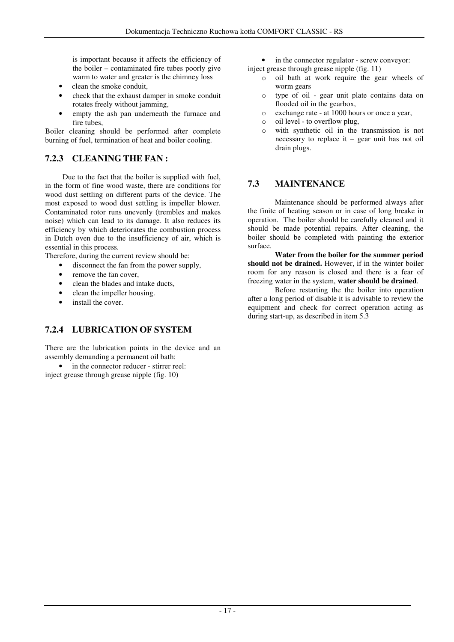is important because it affects the efficiency of the boiler – contaminated fire tubes poorly give warm to water and greater is the chimney loss

- clean the smoke conduit,
- check that the exhaust damper in smoke conduit rotates freely without jamming,
- empty the ash pan underneath the furnace and fire tubes,

Boiler cleaning should be performed after complete burning of fuel, termination of heat and boiler cooling.

## **7.2.3 CLEANING THE FAN :**

Due to the fact that the boiler is supplied with fuel, in the form of fine wood waste, there are conditions for wood dust settling on different parts of the device. The most exposed to wood dust settling is impeller blower. Contaminated rotor runs unevenly (trembles and makes noise) which can lead to its damage. It also reduces its efficiency by which deteriorates the combustion process in Dutch oven due to the insufficiency of air, which is essential in this process.

Therefore, during the current review should be:

- disconnect the fan from the power supply,
- remove the fan cover.
- clean the blades and intake ducts,
- clean the impeller housing.
- install the cover.

## **7.2.4 LUBRICATION OF SYSTEM**

There are the lubrication points in the device and an assembly demanding a permanent oil bath:

• in the connector reducer - stirrer reel: inject grease through grease nipple (fig. 10)

- in the connector regulator screw conveyor:
- inject grease through grease nipple (fig. 11)
	- o oil bath at work require the gear wheels of worm gears
	- o type of oil gear unit plate contains data on flooded oil in the gearbox,
	- o exchange rate at 1000 hours or once a year,
	- o oil level to overflow plug,
	- o with synthetic oil in the transmission is not necessary to replace it – gear unit has not oil drain plugs.

## **7.3 MAINTENANCE**

Maintenance should be performed always after the finite of heating season or in case of long breake in operation. The boiler should be carefully cleaned and it should be made potential repairs. After cleaning, the boiler should be completed with painting the exterior surface.

**Water from the boiler for the summer period should not be drained.** However, if in the winter boiler room for any reason is closed and there is a fear of freezing water in the system, **water should be drained**.

Before restarting the the boiler into operation after a long period of disable it is advisable to review the equipment and check for correct operation acting as during start-up, as described in item 5.3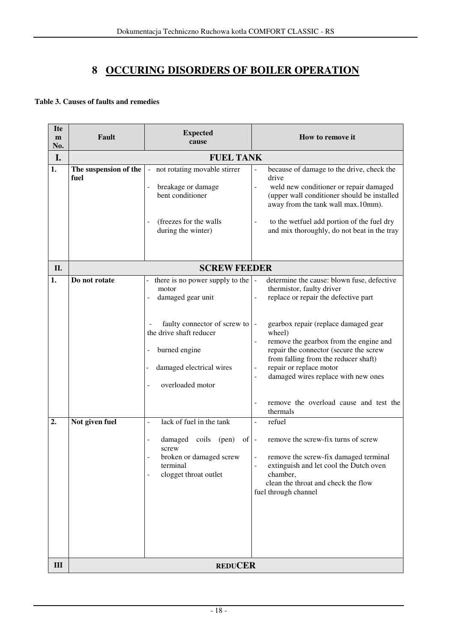## **8 OCCURING DISORDERS OF BOILER OPERATION**

#### **Table 3. Causes of faults and remedies**

| <b>Ite</b><br>m | Fault            | <b>Expected</b><br>cause                                                                                                                                                                                                            | How to remove it                                                                                                                                                                                                                                                                                                                                                                                                                                  |  |  |  |  |  |  |  |
|-----------------|------------------|-------------------------------------------------------------------------------------------------------------------------------------------------------------------------------------------------------------------------------------|---------------------------------------------------------------------------------------------------------------------------------------------------------------------------------------------------------------------------------------------------------------------------------------------------------------------------------------------------------------------------------------------------------------------------------------------------|--|--|--|--|--|--|--|
| No.             |                  |                                                                                                                                                                                                                                     |                                                                                                                                                                                                                                                                                                                                                                                                                                                   |  |  |  |  |  |  |  |
| I.              | <b>FUEL TANK</b> |                                                                                                                                                                                                                                     |                                                                                                                                                                                                                                                                                                                                                                                                                                                   |  |  |  |  |  |  |  |
| 1.              | fuel             | The suspension of the   - not rotating movable stirrer<br>breakage or damage<br>bent conditioner<br>(freezes for the walls<br>during the winter)                                                                                    | because of damage to the drive, check the<br>drive<br>weld new conditioner or repair damaged<br>$\overline{a}$<br>(upper wall conditioner should be installed<br>away from the tank wall max.10mm).<br>to the wetfuel add portion of the fuel dry<br>$\overline{\phantom{0}}$<br>and mix thoroughly, do not beat in the tray                                                                                                                      |  |  |  |  |  |  |  |
| П.              |                  | <b>SCREW FEEDER</b>                                                                                                                                                                                                                 |                                                                                                                                                                                                                                                                                                                                                                                                                                                   |  |  |  |  |  |  |  |
| 1.              | Do not rotate    | there is no power supply to the $\vert$ -<br>motor<br>damaged gear unit<br>faulty connector of screw to   -<br>the drive shaft reducer<br>burned engine<br>$\overline{\phantom{0}}$<br>damaged electrical wires<br>overloaded motor | determine the cause: blown fuse, defective<br>thermistor, faulty driver<br>replace or repair the defective part<br>gearbox repair (replace damaged gear<br>wheel)<br>remove the gearbox from the engine and<br>repair the connector (secure the screw<br>from falling from the reducer shaft)<br>repair or replace motor<br>$\overline{\phantom{0}}$<br>damaged wires replace with new ones<br>remove the overload cause and test the<br>thermals |  |  |  |  |  |  |  |
| 2.              | Not given fuel   | lack of fuel in the tank<br>$\overline{a}$<br>damaged coils (pen)<br>$of -$<br>screw<br>broken or damaged screw<br>terminal<br>clogget throat outlet                                                                                | refuel<br>$\overline{\phantom{0}}$<br>remove the screw-fix turns of screw<br>remove the screw-fix damaged terminal<br>extinguish and let cool the Dutch oven<br>chamber,<br>clean the throat and check the flow<br>fuel through channel                                                                                                                                                                                                           |  |  |  |  |  |  |  |
| Ш               |                  | <b>REDUCER</b>                                                                                                                                                                                                                      |                                                                                                                                                                                                                                                                                                                                                                                                                                                   |  |  |  |  |  |  |  |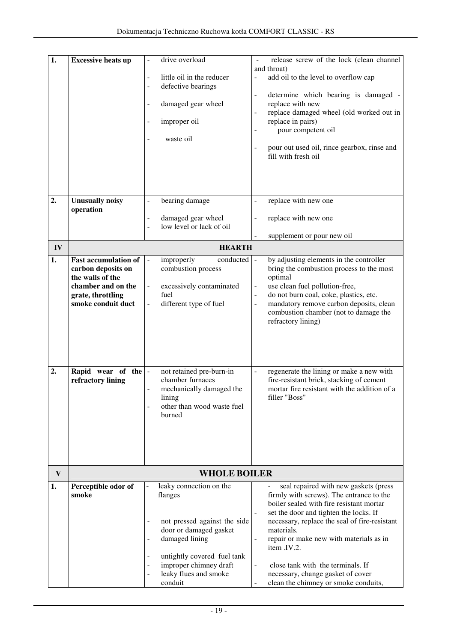| 1.           | <b>Excessive heats up</b>   | drive overload                                                  | release screw of the lock (clean channel                                                |
|--------------|-----------------------------|-----------------------------------------------------------------|-----------------------------------------------------------------------------------------|
|              |                             |                                                                 | and throat)                                                                             |
|              |                             | little oil in the reducer<br>÷,                                 | add oil to the level to overflow cap<br>$\overline{a}$                                  |
|              |                             | defective bearings<br>÷,                                        |                                                                                         |
|              |                             |                                                                 | determine which bearing is damaged -<br>$\blacksquare$                                  |
|              |                             | damaged gear wheel<br>$\overline{a}$                            | replace with new<br>replace damaged wheel (old worked out in                            |
|              |                             | improper oil                                                    | replace in pairs)                                                                       |
|              |                             |                                                                 | pour competent oil                                                                      |
|              |                             | waste oil                                                       |                                                                                         |
|              |                             |                                                                 | pour out used oil, rince gearbox, rinse and                                             |
|              |                             |                                                                 | fill with fresh oil                                                                     |
|              |                             |                                                                 |                                                                                         |
|              |                             |                                                                 |                                                                                         |
|              |                             |                                                                 |                                                                                         |
| 2.           | <b>Unusually noisy</b>      | bearing damage<br>$\blacksquare$                                | replace with new one<br>$\overline{\phantom{0}}$                                        |
|              | operation                   |                                                                 |                                                                                         |
|              |                             | damaged gear wheel<br>$\frac{1}{2}$<br>low level or lack of oil | replace with new one                                                                    |
|              |                             |                                                                 | supplement or pour new oil                                                              |
| IV           |                             | <b>HEARTH</b>                                                   |                                                                                         |
| 1.           | <b>Fast accumulation of</b> | improperly<br>conducted<br>$\Box$                               | by adjusting elements in the controller                                                 |
|              | carbon deposits on          | combustion process                                              | bring the combustion process to the most                                                |
|              | the walls of the            |                                                                 | optimal                                                                                 |
|              | chamber and on the          | excessively contaminated<br>$\overline{\phantom{a}}$            | use clean fuel pollution-free,<br>$\overline{\phantom{a}}$                              |
|              | grate, throttling           | fuel                                                            | do not burn coal, coke, plastics, etc.<br>$\overline{\phantom{a}}$                      |
|              | smoke conduit duct          | different type of fuel                                          | mandatory remove carbon deposits, clean<br>$\overline{a}$                               |
|              |                             |                                                                 | combustion chamber (not to damage the                                                   |
|              |                             |                                                                 | refractory lining)                                                                      |
|              |                             |                                                                 |                                                                                         |
|              |                             |                                                                 |                                                                                         |
|              |                             |                                                                 |                                                                                         |
| 2.           | Rapid wear of the $\vert$ - | not retained pre-burn-in                                        | regenerate the lining or make a new with<br>$\overline{a}$                              |
|              | refractory lining           | chamber furnaces                                                | fire-resistant brick, stacking of cement                                                |
|              |                             | mechanically damaged the                                        | mortar fire resistant with the addition of a                                            |
|              |                             | lining                                                          | filler "Boss"                                                                           |
|              |                             | other than wood waste fuel                                      |                                                                                         |
|              |                             | burned                                                          |                                                                                         |
|              |                             |                                                                 |                                                                                         |
|              |                             |                                                                 |                                                                                         |
|              |                             |                                                                 |                                                                                         |
|              |                             |                                                                 |                                                                                         |
| $\mathbf{V}$ |                             | <b>WHOLE BOILER</b>                                             |                                                                                         |
| 1.           | Perceptible odor of         | leaky connection on the                                         | seal repaired with new gaskets (press                                                   |
|              | smoke                       | flanges                                                         | firmly with screws). The entrance to the                                                |
|              |                             |                                                                 | boiler sealed with fire resistant mortar                                                |
|              |                             |                                                                 | set the door and tighten the locks. If<br>necessary, replace the seal of fire-resistant |
|              |                             | not pressed against the side<br>door or damaged gasket          | materials.                                                                              |
|              |                             | damaged lining<br>$\overline{\phantom{m}}$                      | repair or make new with materials as in<br>$\overline{\phantom{a}}$                     |
|              |                             |                                                                 | item .IV.2.                                                                             |
|              |                             | untightly covered fuel tank<br>$\overline{\phantom{m}}$         |                                                                                         |
|              |                             | improper chimney draft<br>$\overline{\phantom{a}}$              | close tank with the terminals. If<br>$\overline{a}$                                     |
|              |                             | leaky flues and smoke<br>÷,                                     | necessary, change gasket of cover                                                       |
|              |                             | conduit                                                         | clean the chimney or smoke conduits,                                                    |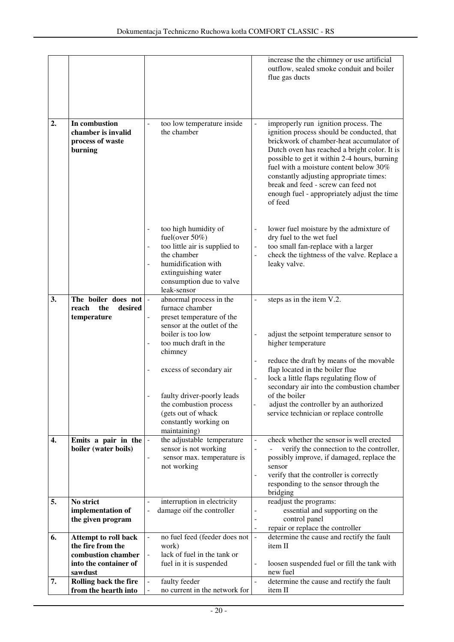|    |                                                                                                     |                                                                                                                                                                                                                                        | increase the the chimney or use artificial<br>outflow, sealed smoke conduit and boiler<br>flue gas ducts                                                                                                                                                                                                                                                                                                             |
|----|-----------------------------------------------------------------------------------------------------|----------------------------------------------------------------------------------------------------------------------------------------------------------------------------------------------------------------------------------------|----------------------------------------------------------------------------------------------------------------------------------------------------------------------------------------------------------------------------------------------------------------------------------------------------------------------------------------------------------------------------------------------------------------------|
| 2. | In combustion<br>chamber is invalid<br>process of waste<br>burning                                  | too low temperature inside<br>$\overline{a}$<br>the chamber                                                                                                                                                                            | improperly run ignition process. The<br>ignition process should be conducted, that<br>brickwork of chamber-heat accumulator of<br>Dutch oven has reached a bright color. It is<br>possible to get it within 2-4 hours, burning<br>fuel with a moisture content below 30%<br>constantly adjusting appropriate times:<br>break and feed - screw can feed not<br>enough fuel - appropriately adjust the time<br>of feed |
|    |                                                                                                     | too high humidity of<br>$\overline{\phantom{0}}$<br>fuel(over $50\%$ )<br>too little air is supplied to<br>-<br>the chamber<br>humidification with<br>$\overline{a}$<br>extinguishing water<br>consumption due to valve<br>leak-sensor | lower fuel moisture by the admixture of<br>$\overline{\phantom{a}}$<br>dry fuel to the wet fuel<br>too small fan-replace with a larger<br>$\blacksquare$<br>check the tightness of the valve. Replace a<br>$\Box$<br>leaky valve.                                                                                                                                                                                    |
| 3. | The boiler does not<br>reach<br>the<br>desired                                                      | abnormal process in the<br>furnace chamber                                                                                                                                                                                             | steps as in the item V.2.                                                                                                                                                                                                                                                                                                                                                                                            |
|    | temperature                                                                                         | preset temperature of the<br>sensor at the outlet of the<br>boiler is too low<br>too much draft in the<br>$\overline{a}$<br>chimney<br>excess of secondary air<br>-<br>faulty driver-poorly leads                                      | adjust the setpoint temperature sensor to<br>$\overline{a}$<br>higher temperature<br>reduce the draft by means of the movable<br>$\overline{\phantom{a}}$<br>flap located in the boiler flue<br>lock a little flaps regulating flow of<br>secondary air into the combustion chamber<br>of the boiler                                                                                                                 |
|    |                                                                                                     | the combustion process<br>(gets out of whack                                                                                                                                                                                           | adjust the controller by an authorized<br>service technician or replace controlle                                                                                                                                                                                                                                                                                                                                    |
|    |                                                                                                     | constantly working on<br>maintaining)                                                                                                                                                                                                  |                                                                                                                                                                                                                                                                                                                                                                                                                      |
| 4. | Emits a pair in the<br>boiler (water boils)                                                         | the adjustable temperature<br>$\frac{1}{2}$<br>sensor is not working<br>sensor max. temperature is<br>-<br>not working                                                                                                                 | check whether the sensor is well erected<br>$\frac{1}{2}$<br>verify the connection to the controller,<br>$\overline{a}$<br>possibly improve, if damaged, replace the<br>sensor<br>verify that the controller is correctly<br>$\blacksquare$<br>responding to the sensor through the<br>bridging                                                                                                                      |
| 5. | No strict<br>implementation of<br>the given program                                                 | interruption in electricity<br>damage oif the controller<br>$\overline{a}$                                                                                                                                                             | readjust the programs:<br>essential and supporting on the<br>control panel<br>$\frac{1}{2}$                                                                                                                                                                                                                                                                                                                          |
| 6. | Attempt to roll back<br>the fire from the<br>combustion chamber<br>into the container of<br>sawdust | no fuel feed (feeder does not<br>work)<br>lack of fuel in the tank or<br>fuel in it is suspended                                                                                                                                       | repair or replace the controller<br>$\blacksquare$<br>determine the cause and rectify the fault<br>$\blacksquare$<br>item II<br>loosen suspended fuel or fill the tank with<br>$\frac{1}{2}$<br>new fuel                                                                                                                                                                                                             |
| 7. | Rolling back the fire<br>from the hearth into                                                       | faulty feeder<br>no current in the network for                                                                                                                                                                                         | determine the cause and rectify the fault<br>$\mathbf{r}$<br>item II                                                                                                                                                                                                                                                                                                                                                 |
|    |                                                                                                     |                                                                                                                                                                                                                                        |                                                                                                                                                                                                                                                                                                                                                                                                                      |